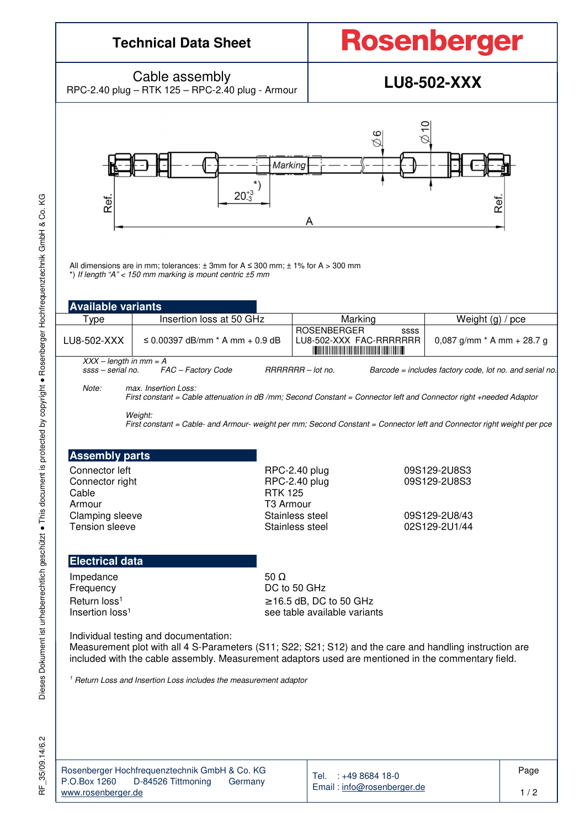## **Technical Data Sheet**

# **Rosenberger**

Cable assembly Cable assembly<br>RPC-2.40 plug – RTK 125 – RPC-2.40 plug - Armour **LU8-502-XXX** 



All dimensions are in mm; tolerances:  $\pm$  3mm for A  $\leq$  300 mm;  $\pm$  1% for A  $>$  300 mm \*) If length "A" < 150 mm marking is mount centric ±5 mm

| <b>Available variants</b>                                                                                               |                                                                                                                                                                                                                                                                                |                                |                                                                                                    |                                |  |  |  |  |  |
|-------------------------------------------------------------------------------------------------------------------------|--------------------------------------------------------------------------------------------------------------------------------------------------------------------------------------------------------------------------------------------------------------------------------|--------------------------------|----------------------------------------------------------------------------------------------------|--------------------------------|--|--|--|--|--|
| Type                                                                                                                    | Insertion loss at 50 GHz                                                                                                                                                                                                                                                       |                                | Marking                                                                                            | Weight $(g)$ / pce             |  |  |  |  |  |
| LU8-502-XXX                                                                                                             | $\leq$ 0.00397 dB/mm $*$ A mm $+$ 0.9 dB                                                                                                                                                                                                                                       | <b>ROSENBERGER</b>             | SSSS<br>LU8-502-XXX FAC-RRRRRRR<br><b>IN THE REAL PROPERTY AND RELEASED FOR THE REAL PROPERTY.</b> | 0,087 g/mm $*$ A mm $+$ 28.7 g |  |  |  |  |  |
| $XXX - length in mm = A$                                                                                                |                                                                                                                                                                                                                                                                                |                                |                                                                                                    |                                |  |  |  |  |  |
| ssss – serial no.<br>FAC - Factory Code<br>RRRRRRR - lot no.<br>Barcode = includes factory code, lot no. and serial no. |                                                                                                                                                                                                                                                                                |                                |                                                                                                    |                                |  |  |  |  |  |
| Note:                                                                                                                   | max. Insertion Loss:<br>First constant = Cable attenuation in dB/mm; Second Constant = Connector left and Connector right +needed Adaptor<br>Weight:<br>First constant = Cable- and Armour- weight per mm; Second Constant = Connector left and Connector right weight per pce |                                |                                                                                                    |                                |  |  |  |  |  |
| <b>Assembly parts</b><br>Connector left<br>Connector right                                                              |                                                                                                                                                                                                                                                                                | RPC-2.40 plug<br>RPC-2.40 plug |                                                                                                    | 09S129-2U8S3<br>09S129-2U8S3   |  |  |  |  |  |
| Cable                                                                                                                   |                                                                                                                                                                                                                                                                                | <b>RTK 125</b>                 |                                                                                                    |                                |  |  |  |  |  |

Armour T3 Armour Clamping sleeve Clamping sleeve Clamping sleeve Clamping sleeve Clamping sleeve Clamping Stainless steel Clamp<br>
Stainless steel Clamping Stainless steel Clamping Stainless steel Clamping Clamping Stainless steel Clamping O

Stainless steel 02S129-2U1/44

## **Electrical data**

Impedance 50 Ω<br>Frequency DC to Insertion loss<sup>1</sup>

DC to 50 GHz Return  $\log^1$  ≥ 16.5 dB, DC to 50 GHz see table available variants

Individual testing and documentation:

Measurement plot with all 4 S-Parameters (S11; S22; S21; S12) and the care and handling instruction are included with the cable assembly. Measurement adaptors used are mentioned in the commentary field.

<sup>1</sup> Return Loss and Insertion Loss includes the measurement adaptor

Dieses Dokument ist urheberrechtlich geschützt ● This document is protected by copyright ● Rosenberger Hochfrequenztechnik GmbH & Co. KG

Dieses Dokument ist urheberrechtlich geschützt • This document is protected by copyright • Rosenberger Hochfrequenztechnik GmbH & Co.

KG

|                    | Rosenberger Hochfrequenztechnik GmbH & Co. KG |         |
|--------------------|-----------------------------------------------|---------|
| P.O.Box 1260       | D-84526 Tittmoning                            | Germany |
| www.rosenberger.de |                                               |         |

Tel. : +49 8684 18-0 Email : info@rosenberger.de